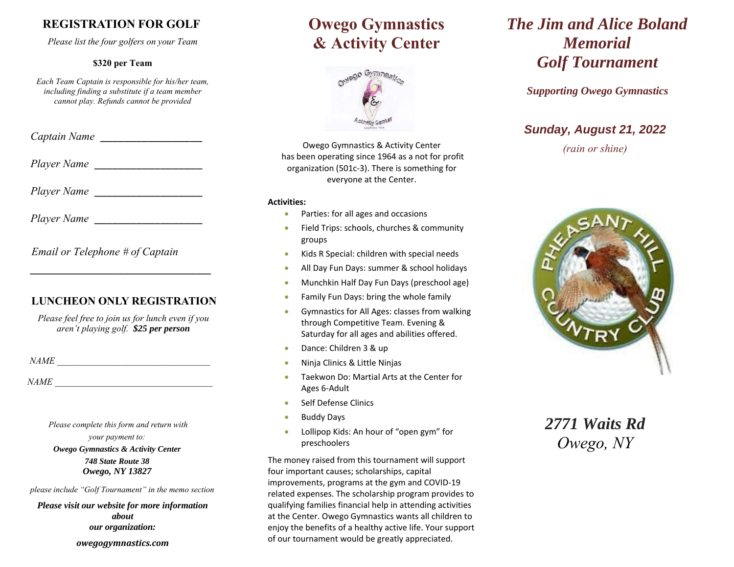## **REGISTRATION FOR GOLF**

*Please list the four golfers on your Team* 

#### **\$320 per Team**

*Each Team Captain is responsible for his/her team, including finding a substitute if a team member cannot play. Refunds cannot be provided*

 *Captain Name* \_\_\_\_\_\_\_\_\_\_\_\_\_\_\_\_\_

*Player Name* 

 *Player Name* \_\_\_\_\_\_\_\_\_\_\_\_\_\_\_\_\_\_

*Player Name* 

 *Email or Telephone # of Captain* 

 **\_\_\_\_\_\_\_\_\_\_\_\_\_\_\_\_\_\_\_\_\_\_\_\_\_\_\_\_\_\_** 

### **LUNCHEON ONLY REGISTRATION**

*Please feel free to join us for lunch even if you aren't playing golf. \$25 per person*

 *NAME \_\_\_\_\_\_\_\_\_\_\_\_\_\_\_\_\_\_\_\_\_\_\_\_\_\_\_\_\_\_\_\_\_* 

 *NAME \_\_\_\_\_\_\_\_\_\_\_\_\_\_\_\_\_\_\_\_\_\_\_\_\_\_\_\_\_\_\_\_\_\_* 

 *Please complete this form and return with* 

*your payment to: Owego Gymnastics & Activity Center 748 State Route 38 Owego, NY 13827*

*please include "Golf Tournament" in the memo section* 

*Please visit our website for more information aboutour organization:*

*owegogymnastics.com*

# **Owego Gymnastics & Activity Center**



Owego Gymnastics & Activity Center has been operating since 1964 as a not for profit organization (501c‐3). There is something for everyone at the Center.

#### **Activities:**

- 0 Parties: for all ages and occasions
- 0 Field Trips: schools, churches & community groups
- $\bullet$ Kids R Special: children with special needs
- 0 All Day Fun Days: summer & school holidays
- O Munchkin Half Day Fun Days (preschool age)
- 0 Family Fun Days: bring the whole family
- 0 Gymnastics for All Ages: classes from walking through Competitive Team. Evening & Saturday for all ages and abilities offered.
- 0 Dance: Children 3 & up
- O Ninja Clinics & Little Ninjas
- 0 Taekwon Do: Martial Arts at the Center for Ages 6‐Adult
- 0 Self Defense Clinics
- 0 Buddy Days
- $\bullet$  Lollipop Kids: An hour of "open gym" for preschoolers

The money raised from this tournament will support four important causes; scholarships, capital improvements, programs at the gym and COVID‐19 related expenses. The scholarship program provides to qualifying families financial help in attending activities at the Center. Owego Gymnastics wants all children to enjoy the benefits of a healthy active life. Your support of our tournament would be greatly appreciated.

# *The Jim and Alice Boland Memorial Golf Tournament*

*Supporting Owego Gymnastics* 

## *Sunday, August 21, 2022*

*(rain or shine)*



*2771 Waits Rd Owego, NY*